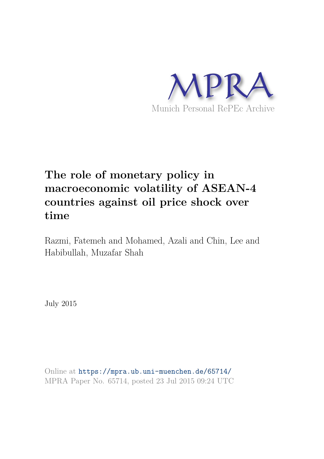

# **The role of monetary policy in macroeconomic volatility of ASEAN-4 countries against oil price shock over time**

Razmi, Fatemeh and Mohamed, Azali and Chin, Lee and Habibullah, Muzafar Shah

July 2015

Online at https://mpra.ub.uni-muenchen.de/65714/ MPRA Paper No. 65714, posted 23 Jul 2015 09:24 UTC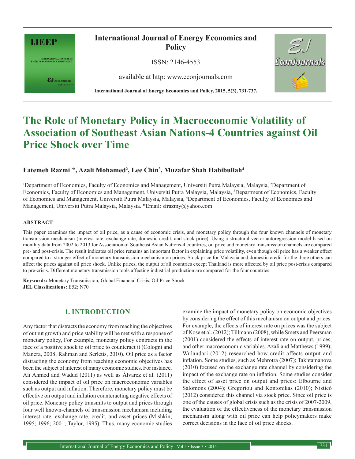

INTERNATIONAL JOURNAL OF<br>ENERGY ECONOMICS AND POLICY

 $\pmb{\varepsilon} \mathbf{J}_{\text{\tiny{EconJournals}}}$ 

**International Journal of Energy Economics and Policy**

ISSN: 2146-4553

available at http: www.econjournals.com

**International Journal of Energy Economics and Policy, 2015, 5(3), 731-737.**



## **The Role of Monetary Policy in Macroeconomic Volatility of Association of Southeast Asian Nations-4 Countries against Oil Price Shock over Time**

## **Fatemeh Razmi<sup>1</sup>\*, Azali Mohamed<sup>2</sup> , Lee Chin<sup>3</sup> , Muzafar Shah Habibullah<sup>4</sup>**

<sup>1</sup>Department of Economics, Faculty of Economics and Management, Universiti Putra Malaysia, Malaysia, <sup>2</sup>Department of Economics, Faculty of Economics and Management, Universiti Putra Malaysia, Malaysia, <sup>3</sup>Department of Economics, Faculty of Economics and Management, Universiti Putra Malaysia, Malaysia, <sup>4</sup>Department of Economics, Faculty of Economics and Management, Universiti Putra Malaysia, Malaysia. \*Email: sfrazmy@yahoo.com

#### **ABSTRACT**

This paper examines the impact of oil price, as a cause of economic crisis, and monetary policy through the four known channels of monetary transmission mechanism (interest rate, exchange rate, domestic credit, and stock price). Using a structural vector autoregression model based on monthly data from 2002 to 2013 for Association of Southeast Asian Nations-4 countries, oil price and monetary transmission channels are compared pre- and post-crisis. The result indicates oil price remains an important factor in explaining price volatility, even though oil price has a weaker effect compared to a stronger effect of monetary transmission mechanism on prices. Stock price for Malaysia and domestic credit for the three others can affect the prices against oil price shock. Unlike prices, the output of all countries except Thailand is more affected by oil price post-crisis compared to pre-crisis. Different monetary transmission tools affecting industrial production are compared for the four countries.

**Keywords:** Monetary Transmission, Global Financial Crisis, Oil Price Shock **JEL Classifications:** E52; N70

## **1. INTRODUCTION**

Any factor that distracts the economy from reaching the objectives of output growth and price stability will be met with a response of monetary policy, For example, monetary policy contracts in the face of a positive shock to oil price to counteract it (Cologni and Manera, 2008; Rahman and Serletis, 2010). Oil price as a factor distracting the economy from reaching economic objectives has been the subject of interest of many economic studies. For instance, Ali Ahmed and Wadud (2011) as well as Álvarez et al. (2011) considered the impact of oil price on macroeconomic variables such as output and inflation. Therefore, monetary policy must be effective on output and inflation counteracting negative effects of oil price. Monetary policy transmits to output and prices through four well known-channels of transmission mechanism including interest rate, exchange rate, credit, and asset prices (Mishkin, 1995; 1996; 2001; Taylor, 1995). Thus, many economic studies

examine the impact of monetary policy on economic objectives by considering the effect of this mechanism on output and prices. For example, the effects of interest rate on prices was the subject of Kose et al. (2012); Tillmann (2008), while Smets and Peersman (2001) considered the effects of interest rate on output, prices, and other macroeconomic variables. Azali and Matthews (1999); Wulandari (2012) researched how credit affects output and inflation. Some studies, such as Mehrotra (2007); Takhtamanova (2010) focused on the exchange rate channel by considering the impact of the exchange rate on inflation. Some studies consider the effect of asset price on output and prices: Elbourne and Salomons (2004); Gregoriou and Kontonikas (2010); Nisticò (2012) considered this channel via stock price. Since oil price is one of the causes of global crisis such as the crisis of 2007-2009, the evaluation of the effectiveness of the monetary transmission mechanism along with oil price can help policymakers make correct decisions in the face of oil price shocks.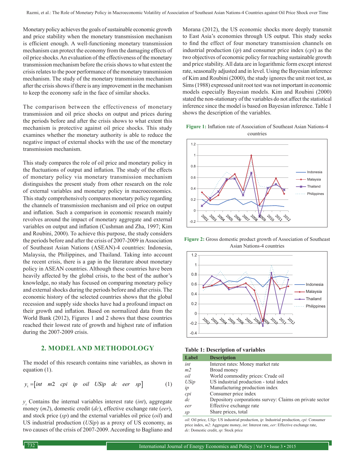Monetary policy achieves the goals of sustainable economic growth and price stability when the monetary transmission mechanism is efficient enough. A well-functioning monetary transmission mechanism can protect the economy from the damaging effects of oil price shocks. An evaluation of the effectiveness of the monetary transmission mechanism before the crisis shows to what extent the crisis relates to the poor performance of the monetary transmission mechanism. The study of the monetary transmission mechanism after the crisis shows if there is any improvement in the mechanism to keep the economy safe in the face of similar shocks.

The comparison between the effectiveness of monetary transmission and oil price shocks on output and prices during the periods before and after the crisis shows to what extent this mechanism is protective against oil price shocks. This study examines whether the monetary authority is able to reduce the negative impact of external shocks with the use of the monetary transmission mechanism.

This study compares the role of oil price and monetary policy in the fluctuations of output and inflation. The study of the effects of monetary policy via monetary transmission mechanism distinguishes the present study from other research on the role of external variables and monetary policy in macroeconomics. This study comprehensively compares monetary policy regarding the channels of transmission mechanism and oil price on output and inflation. Such a comparison in economic research mainly revolves around the impact of monetary aggregate and external variables on output and inflation (Cushman and Zha, 1997; Kim and Roubini, 2000). To achieve this purpose, the study considers the periods before and after the crisis of 2007-2009 in Association of Southeast Asian Nations (ASEAN)-4 countries: Indonesia, Malaysia, the Philippines, and Thailand. Taking into account the recent crisis, there is a gap in the literature about monetary policy in ASEAN countries. Although these countries have been heavily affected by the global crisis, to the best of the author's knowledge, no study has focused on comparing monetary policy and external shocks during the periods before and after crisis. The economic history of the selected countries shows that the global recession and supply side shocks have had a profound impact on their growth and inflation. Based on normalized data from the World Bank (2012), Figures 1 and 2 shows that these countries reached their lowest rate of growth and highest rate of inflation during the 2007-2009 crisis.

#### **2. MODEL AND METHODOLOGY**

The model of this research contains nine variables, as shown in equation (1).

$$
y_t = [int \space m2 \space cpi \space ip \space oil \space USip \space dc \space aer \space sp] \tag{1}
$$

 $y_t$  Contains the internal variables interest rate (*int*), aggregate money (*m2*), domestic credit (*dc*), effective exchange rate (*eer*), and stock price (*sp*) and the external variables oil price (*oil*) and US industrial production (*USip*) as a proxy of US economy, as two causes of the crisis of 2007-2009. According to Bagliano and

Morana (2012), the US economic shocks more deeply transmit to East Asia's economies through US output. This study seeks to find the effect of four monetary transmission channels on industrial production (*ip*) and consumer price index (*cpi*) as the two objectives of economic policy for reaching sustainable growth and price stability. All data are in logarithmic form except interest rate, seasonally adjusted and in level. Using the Bayesian inference of Kim and Roubini (2000), the study ignores the unit root test, as Sims (1988) expressed unit root test was not important in economic models especially Bayesian models. Kim and Roubini (2000) stated the non-stationary of the variables do not affect the statistical inference since the model is based on Bayesian inference. Table 1 shows the description of the variables.

**Figure 1:** Inflation rate of Association of Southeast Asian Nations-4 countries



**Figure 2:** Gross domestic product growth of Association of Southeast Asian Nations-4 countries



**Table 1: Description of variables**

| Label          | <b>Description</b>                                       |
|----------------|----------------------------------------------------------|
| int            | Interest rates: Money market rate                        |
| m <sub>2</sub> | Broad money                                              |
| oil            | World commodity prices: Crude oil                        |
| USip           | US industrial production - total index                   |
| ip             | Manufacturing production index                           |
| cpi            | Consumer price index                                     |
| $\frac{d}{c}$  | Depository corporations survey: Claims on private sector |
| eer            | Effective exchange rate                                  |
| sp             | Share prices, total                                      |

*oil*: Oil price, *USip*: US industrial production, *ip*: Industrial production, *cpi*: Consumer price index, *m2*: Aggregate money, *int*: Interest rate, *eer*: Effective exchange rate, *dc*: Domestic credit, *sp*: Stock price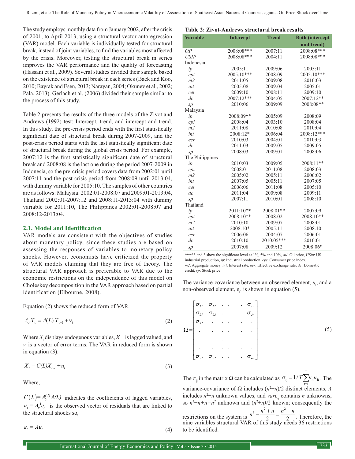The study employs monthly data from January 2002, after the crisis of 2001, to April 2013, using a structural vector autoregression (VAR) model. Each variable is individually tested for structural break, instead of joint variables, to find the variables most affected by the crisis. Moreover, testing the structural break in series improves the VAR performance and the quality of forecasting (Hassani et al., 2009). Several studies divided their sample based on the existence of structural break in each series (Baek and Koo, 2010; Bayrak and Esen, 2013; Narayan, 2004; Okunev et al., 2002; Pala, 2013). Gerlach et al. (2006) divided their sample similar to the process of this study.

Table 2 presents the results of the three models of the Zivot and Andrews (1992) test: Intercept, trend, and intercept and trend. In this study, the pre-crisis period ends with the first statistically significant date of structural break during 2007-2009, and the post-crisis period starts with the last statistically significant date of structural break during the global crisis period. For example, 2007:12 is the first statistically significant date of structural break and 2008:08 is the last one during the period 2007-2009 in Indonesia, so the pre-crisis period covers data from 2002:01 until 2007:11 and the post-crisis period from 2008:09 until 2013:04, with dummy variable for 2005:10. The samples of other countries are as follows: Malaysia: 2002:01-2008:07 and 2009:01-2013:04, Thailand 2002:01-2007:12 and 2008:11-2013:04 with dummy variable for 2011:10, The Philippines 2002:01-2008:07 and 2008:12-2013:04.

#### **2.1. Model and Identification**

VAR models are consistent with the objectives of studies about monetary policy, since these studies are based on assessing the responses of variables to monetary policy shocks. However, economists have criticized the property of VAR models claiming that they are free of theory. The structural VAR approach is preferable to VAR due to the economic restrictions on the independence of this model on Choleskey decomposition in the VAR approach based on partial identification (Elbourne, 2008).

Equation (2) shows the reduced form of VAR.

$$
A_0 X_t = A(L) X_{t-1} + v_t \tag{2}
$$

Where  $X_t$  displays endogenous variables,  $X_{t-1}$  is lagged valued, and  $v_t$  is a vector of error terms. The VAR in reduced form is shown in equation (3):

$$
X_t = C(L)X_{t-1} + u_t \tag{3}
$$

Where,

 $C(L) = A_0^{(1)} A(L)$  indicates the coefficients of lagged variables,  $u_t = A_0^{-1} e_t$  is the observed vector of residuals that are linked to the structural shocks so,

 $\varepsilon_t = A u_t$ 

#### **Table 2: Zivot-Andrews structural break results**

| <b>Variable</b> | <b>Intercept</b> | <b>Trend</b> | <b>Both (intercept</b> |
|-----------------|------------------|--------------|------------------------|
|                 |                  |              |                        |
|                 |                  |              | and trend)             |
| OP              | 2008:08***       | 2007:11      | 2008:08***             |
| <b>USIP</b>     | 2008:08***       | 2004:11      | 2008:08***             |
| Indonesia       |                  |              |                        |
| ip              | 2005:11          | 2009:06      | 2005:11                |
| cpi             | 2005:10***       | 2008:09      | 2005:10***             |
| m <sub>2</sub>  | 2011:05          | 2009:08      | 2010:03                |
| int             | 2005:08          | 2009:04      | 2005:01                |
| eer             | 2009:10          | 2008:11      | 2009:10                |
| d c             | 2007:12***       | 2004:05      | 2007:12**              |
| sp              | 2010:06          | 2009:09      | 2008:08**              |
| Malaysia        |                  |              |                        |
| ip              | 2008:09**        | 2005:09      | 2008:09                |
| cpi             | 2008:04          | 2003:10      | 2008:04                |
| m <sub>2</sub>  | 2011:08          | 2010:08      | 2010:04                |
| int             | 2008:12*         | 2006:04      | 2008:12***             |
| eer             | 2010:03          | 2004:01      | 2010:03                |
| d c             | 2011:03          | 2009:05      | 2009:05                |
| sp              | 2008:03          | 2009:01      | 2008:06                |
| The Philippines |                  |              |                        |
| ip              | 2010:03          | 2009:05      | 2008:11**              |
| cpi             | 2008:01          | 2011:08      | 2008:03                |
| m <sub>2</sub>  | 2005:02          | 2005:11      | 2006:02                |
| int             | 2007:05          | 2005:11      | 2007:05                |
| eer             | 2006:06          | 2011:08      | 2005:10                |
| d c             | 2011:04          | 2009:08      | 2009:11                |
| sp              | 2007:11          | 2010:01      | 2008:10                |
| Thailand        |                  |              |                        |
| ip              | 2011:10**        | 2008:01**    | 2007:09                |
| cpi             | 2008:10**        | 2008:02      | 2008:10**              |
| m <sub>2</sub>  | 2010:10          | 2009:07      | 2008:01                |
| int             | 2008:10*         | 2005:11      | 2008:10                |
| eer             | 2006:06          | 2004:07      | 2006:01                |
| d c             | 2010:10          | 2010:05***   | 2010:01                |
| sp              | 2007:08          | 2009:12      | 2008:06*               |

\*\*\*\*\* and \* show the significant level at 1%, 5% and 10%, *oil*: Oil price, *USip*: US industrial production, *ip*: Industrial production, *cpi*: Consumer price index, *m2*: Aggregate money, *int*: Interest rate, *eer*: Effective exchange rate, *dc*: Domestic credit, *sp*: Stock price

The variance-covariance between an observed element,  $u_t$ , and a non-observed element,  $\varepsilon_t$ , is shown in equation (5).

$$
\Omega = \begin{bmatrix}\n\sigma_{11} & \sigma_{12} & \dots & \sigma_{1n} \\
\sigma_{21} & \sigma_{22} & \dots & \sigma_{2n} \\
\sigma_{31} & \dots & \dots & \vdots \\
\vdots & \vdots & \ddots & \vdots \\
\sigma_{n1} & \sigma_{n2} & \dots & \sigma_{nn}\n\end{bmatrix}
$$
\n(5)

The  $\sigma_{ij}$  in the matrix  $\Omega$  can be calculated as  $\sigma_{ij}$ variance-covariance of  $\Omega$  includes  $(n^2+n)/2$  distinct elements, *A*  $= 1/T \sum_{i=1}^{T} u_{i} u_{j}$ . The includes  $n^2 - n$  unknown values, and *var* $\varepsilon_{ij}$  contains *n* unknowns, so  $n^2 - n + n = n^2$  unknown and  $(n^2 + n)/2$  known; consequently the restrictions on the system is  $n^2 - \frac{n^2 + n}{2} = \frac{n^2 - n}{2}$  $2^{2}$  $-\frac{n^2 + n}{n} = \frac{n^2 - n}{n}$ . Therefore, the nine variables structural VAR of this study needs 36 restrictions to be identified.

(4)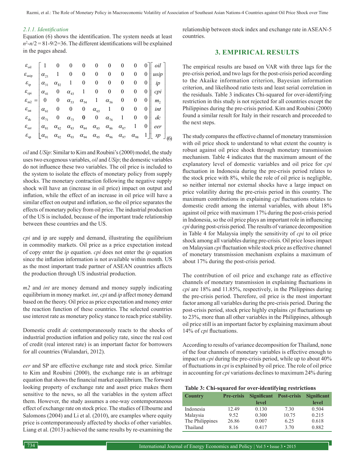Razmi, et al.: The Role of Monetary Policy in Macroeconomic Volatility of Association of Southeast Asian Nations-4 Countries against Oil Price Shock over Time

#### *2.1.1. Identification*

Equation (6) shows the identification. The system needs at least  $n^2 - n/2 = 81 - 9/2 = 36$ . The different identifications will be explained in the pages ahead.

| $\varepsilon_{\rm oil}$   1 0 0 0 0 0                                                                                                                                                                                                                                                                                                                                 |               |  |  | $\begin{matrix} 0 \end{matrix}$                                             |  |                                                                                                                                                                                                                                                       |  |
|-----------------------------------------------------------------------------------------------------------------------------------------------------------------------------------------------------------------------------------------------------------------------------------------------------------------------------------------------------------------------|---------------|--|--|-----------------------------------------------------------------------------|--|-------------------------------------------------------------------------------------------------------------------------------------------------------------------------------------------------------------------------------------------------------|--|
| $\varepsilon_{\rm usip}$                                                                                                                                                                                                                                                                                                                                              |               |  |  | $\begin{vmatrix} \alpha_{21} & 1 & 0 & 0 & 0 & 0 & 0 & 0 & 0 \end{vmatrix}$ |  |                                                                                                                                                                                                                                                       |  |
| $\varepsilon_{\text{ip}}$ $\left \alpha_{31} \alpha_{32} \alpha_{11} \alpha_{00}\right $ 0 0 0 0 0 0 $\left \right $ ip                                                                                                                                                                                                                                               |               |  |  |                                                                             |  |                                                                                                                                                                                                                                                       |  |
|                                                                                                                                                                                                                                                                                                                                                                       |               |  |  |                                                                             |  |                                                                                                                                                                                                                                                       |  |
| $\varepsilon_{\text{epi}}$ $\varepsilon_{\text{me2}} = \begin{vmatrix} \alpha_{41} & 0 & \alpha_{43} & 1 & 0 & 0 & 0 & 0 & 0 \\ 0 & 0 & \alpha_{53} & \alpha_{54} & 1 & \alpha_{56} & 0 & 0 & 0 \\ \varepsilon_{\text{int}} & \alpha_{61} & 0 & 0 & 0 & \alpha_{65} & 1 & 0 & 0 & 0 \\ \alpha_{71} & 0 & \alpha_{73} & 0 & 0 & \alpha_{76} & 1 & 0 & 0 \end{vmatrix}$ |               |  |  |                                                                             |  |                                                                                                                                                                                                                                                       |  |
|                                                                                                                                                                                                                                                                                                                                                                       |               |  |  |                                                                             |  | int                                                                                                                                                                                                                                                   |  |
|                                                                                                                                                                                                                                                                                                                                                                       |               |  |  |                                                                             |  | dc                                                                                                                                                                                                                                                    |  |
| ${\cal E}^{}_{\rm eer}$                                                                                                                                                                                                                                                                                                                                               | $\alpha_{81}$ |  |  |                                                                             |  |                                                                                                                                                                                                                                                       |  |
| $\varepsilon_{\rm sp}^-$                                                                                                                                                                                                                                                                                                                                              | $\alpha_{91}$ |  |  |                                                                             |  | $\begin{array}{ccccccccc}\n\alpha_{82} & \alpha_{83} & \alpha_{84} & \alpha_{85} & \alpha_{86} & \alpha_{87} & 1 & 0 & eer \\ \alpha_{92} & \alpha_{93} & \alpha_{94} & \alpha_{95} & \alpha_{96} & \alpha_{97} & \alpha_{98} & 1 & gtr\n\end{array}$ |  |

*oil* and *USip*: Similar to Kim and Roubini's (2000) model, the study uses two exogenous variables, *oil* and *USip*; the domestic variables do not influence these two variables. The oil price is included to the system to isolate the effects of monetary policy from supply shocks. The monetary contraction following the negative supply shock will have an (increase in oil price) impact on output and inflation, while the effect of an increase in oil price will have a similar effect on output and inflation, so the oil price separates the effects of monetary policy from oil price. The industrial production of the US is included, because of the important trade relationship between these countries and the US.

*cpi* and ip are supply and demand, illustrating the equilibrium in commodity markets. Oil price as a price expectation instead of copy enter the *ip* equation. *cpi* does not enter the *ip* equation since the inflation information is not available within month. US as the most important trade partner of ASEAN countries affects the production through US industrial production.

*m2* and *int* are money demand and money supply indicating equilibrium in money market. *int*, *cpi* and *ip* affect money demand based on the theory. Oil price as price expectation and money enter the reaction function of these countries. The selected countries use interest rate as monetary policy stance to reach price stability.

Domestic credit *dc* contemporaneously reacts to the shocks of industrial production inflation and policy rate, since the real cost of credit (real interest rate) is an important factor for borrowers for all countries (Wulandari, 2012).

*eer* and SP are effective exchange rate and stock price. Similar to Kim and Roubini (2000), the exchange rate is an arbitrage equation that shows the financial market equilibrium. The forward looking property of exchange rate and asset price makes them sensitive to the news, so all the variables in the system affect them. However, the study assumes a one-way contemporaneous effect of exchange rate on stock price. The studies of Elbourne and Salomons (2004) and Li et al. (2010), are examples where equity price is contemporaneously affected by shocks of other variables. Liang et al. (2013) achieved the same results by re-examining the

relationship between stock index and exchange rate in ASEAN-5 countries.

## **3. EMPIRICAL RESULTS**

The empirical results are based on VAR with three lags for the pre-crisis period, and two lags for the post-crisis period according to the Akaike information criterion, Bayesian information criterion, and likelihood ratio tests and least serial correlation in the residuals. Table 3 indicates Chi-squared for over-identifying restriction in this study is not rejected for all countries except the Philippines during the pre-crisis period. Kim and Roubini (2000) found a similar result for Italy in their research and proceeded to the next steps.

The study compares the effective channel of monetary transmission with oil price shock to understand to what extent the country is robust against oil price shock through monetary transmission mechanism. Table 4 indicates that the maximum amount of the explanatory level of domestic variables and oil price for *cpi*  fluctuation in Indonesia during the pre-crisis period relates to the stock price with 8%, while the role of oil price is negligible, so neither internal nor external shocks have a large impact on price volatility during the pre-crisis period in this country. The maximum contributions in explaining *cpi* fluctuations relates to domestic credit among the internal variables, with about 18% against oil price with maximum 17% during the post-crisis period in Indonesia, so the oil price plays an important role in influencing *cpi* during post-crisis period. The results of variance decomposition in Table 4 for Malaysia imply the sensitivity of *cpi* to oil price shock among all variables during pre-crisis. Oil price loses impact on Malaysian *cpi* fluctuation while stock price as effective channel of monetary transmission mechanism explains a maximum of about 17% during the post-crisis period.

The contribution of oil price and exchange rate as effective channels of monetary transmission in explaining fluctuations in *cpi* are 18% and 11.85%, respectively, in the Philippines during the pre-crisis period. Therefore, oil price is the most important factor among all variables during the pre-crisis period. During the post-crisis period, stock price highly explains *cpi* fluctuations up to 23%, more than all other variables in the Philippines, although oil price still is an important factor by explaining maximum about 14% of *cpi* fluctuations.

According to results of variance decomposition for Thailand, none of the four channels of monetary variables is effective enough to impact on *cpi* during the pre-crisis period, while up to about 40% of fluctuations in *cpi* is explained by oil price. The role of oil price in accounting for *cpi* variations declines to maximum 24% during

#### **Table 3: Chi-squared for over-identifying restrictions**

| <b>Country</b>  | <b>Pre-crisis</b> | <b>Significant</b> | <b>Post-crisis</b> | <b>Significant</b> |  |
|-----------------|-------------------|--------------------|--------------------|--------------------|--|
|                 |                   | level              |                    | level              |  |
| Indonesia       | 12.49             | 0.130              | 7.30               | 0.504              |  |
| Malaysia        | 9.52              | 0.300              | 10.75              | 0.215              |  |
| The Philippines | 26.86             | 0.007              | 6.25               | 0.618              |  |
| Thailand        | 8.16              | 0.417              | 3.70               | 0.882              |  |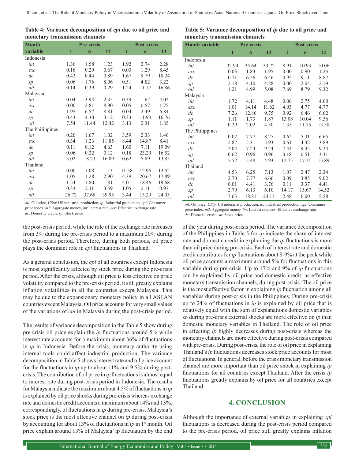| Table 4: Variance decomposition of <i>cpi</i> due to oil price and |  |
|--------------------------------------------------------------------|--|
| monetary transmission channels                                     |  |

| <b>Month</b>    | <b>Pre-crisis</b> |       |       | <b>Post-crisis</b> |       |       |  |
|-----------------|-------------------|-------|-------|--------------------|-------|-------|--|
| variable        | 1                 | 6     | 12    | 1                  | 6     | 12    |  |
| Indonesia       |                   |       |       |                    |       |       |  |
| int             | 1.36              | 1.58  | 1.23  | 1.92               | 2.74  | 2.28  |  |
| exc             | 0.16              | 0.29  | 0.67  | 0.03               | 1.29  | 8.45  |  |
| $\frac{d}{c}$   | 0.42              | 0.44  | 0.89  | 1.67               | 9.79  | 18.24 |  |
| sp              | 0.06              | 1.76  | 8.06  | 0.51               | 4.82  | 3.22  |  |
| oil             | 0.14              | 0.39  | 0.29  | 1.24               | 11.17 | 16.86 |  |
| Malaysia        |                   |       |       |                    |       |       |  |
| int             | 0.04              | 3.94  | 2.35  | 0.39               | 1.62  | 4.02  |  |
| exc             | 0.00              | 2.81  | 8.90  | 0.05               | 0.57  | 1.75  |  |
| $\frac{d}{c}$   | 1.95              | 6.57  | 8.81  | 0.04               | 2.49  | 6.84  |  |
| sp              | 0.43              | 4.30  | 3.12  | 0.33               | 11.93 | 16.76 |  |
| oil             | 7.54              | 11.44 | 12.42 | 3.13               | 2.31  | 1.85  |  |
| The Philippines |                   |       |       |                    |       |       |  |
| int             | 0.20              | 1.67  | 1.02  | 3.59               | 2.33  | 1.46  |  |
| exc             | 0.34              | 1.23  | 11.85 | 8.44               | 14.87 | 8.41  |  |
| $\frac{d}{c}$   | 0.11              | 0.12  | 4.63  | 1.60               | 7.11  | 19.09 |  |
| sp              | 0.06              | 0.22  | 0.12  | 0.18               | 23.29 | 16.52 |  |
| oil             | 3.02              | 18.23 | 16.09 | 0.62               | 5.89  | 13.85 |  |
| Thailand        |                   |       |       |                    |       |       |  |
| int             | 0.00              | 1.08  | 1.13  | 11.58              | 12.95 | 13.52 |  |
| exc             | 1.05              | 1.28  | 2.90  | 4.39               | 20.67 | 17.89 |  |
| $\frac{d}{c}$   | 1.54              | 1.80  | 1.81  | 4.01               | 18.46 | 19.68 |  |
| sp              | 0.33              | 2.11  | 3.59  | 1.05               | 2.11  | 0.97  |  |
| oil             | 26.72             | 37.68 | 39.95 | 3.44               | 13.29 | 24.05 |  |

*oil*: Oil price, *USip*: US industrial production, *ip*: Industrial production, *cpi*: Consumer price index, *m2*: Aggregate money, *int*: Interest rate, *eer*: Effective exchange rate,

*dc*: Domestic credit, *sp*: Stock price

the post-crisis period, while the role of the exchange rate increases from 3% during the pre-crisis period to a maximum 20% during the post-crisis period. Therefore, during both periods, oil price plays the dominant role in *cpi* fluctuations in Thailand.

As a general conclusion, the *cpi* of all countries except Indonesia is most significantly affected by stock price during the pre-crisis period. After the crisis, although oil price is less effective on price volatility compared to the pre-crisis period, it still greatly explains inflation volatilities in all the countries except Malaysia. This may be due to the expansionary monetary policy in all ASEAN countries except Malaysia. Oil price accounts for very small values of the variations of *cpi* in Malaysia during the post-crisis period.

The results of variance decomposition in the Table 5 show during pre-crisis oil price explain the *ip* fluctuations around 5% while interest rate accounts for a maximum about 36% of fluctuations in *ip* in Indonesia. Before the crisis, monetary authority using internal tools could affect industrial production. The variance decomposition in Table 5 shows interest rate and oil price account for the fluctuations in *ip* up to about 11% and 9.5% during postcrisis. The contribution of oil price in *ip* fluctuations is almost equal to interest rate during post-crisis period in Indonesia. The results for Malaysia indicate the maximum about 4.5% of fluctuations in *ip* is explained by oil price shocks during pre-crisis whereas exchange rate and domestic credit accounts a maximum about 14% and 13%, correspondingly, of fluctuations in *ip* during pre-crisis. Malaysia's stock price is the most effective channel on *ip* during post-crisis by accounting for about 13% of fluctuations in *ip* in 1st month. Oil price explain around 13% of Malaysia' ip fluctuation by the end

| Table 5: Variance decomposition of ip due to oil price and |
|------------------------------------------------------------|
| monetary transmission channels                             |

| <b>Month variable</b> | <b>Pre-crisis</b> |       |       | <b>Post-crisis</b> |       |       |
|-----------------------|-------------------|-------|-------|--------------------|-------|-------|
|                       | 1                 | 6     | 12    | 1                  | 6     | 12    |
| Indonesia             |                   |       |       |                    |       |       |
| int                   | 32.94             | 35.64 | 33.72 | 8.91               | 10.93 | 10.06 |
| exc                   | 0.03              | 1.83  | 1.95  | 0.00               | 0.90  | 1.25  |
| $\frac{d}{c}$         | 0.71              | 6.56  | 6.46  | 0.92               | 9.11  | 8.87  |
| sp                    | 2.18              | 4.10  | 4.28  | 0.00               | 2.04  | 2.19  |
| oil                   | 1.21              | 4.99  | 5.08  | 7.69               | 8.79  | 9.32  |
| Malaysia              |                   |       |       |                    |       |       |
| int                   | 1.72              | 4.11  | 4.48  | 0.06               | 2.75  | 4.60  |
| exc                   | 1.01              | 14.14 | 11.62 | 4.93               | 4.77  | 4.77  |
| $\frac{d}{c}$         | 7.26              | 12.86 | 9.75  | 0.92               | 6.46  | 6.62  |
| sp                    | 1.11              | 1.73  | 1.87  | 13.08              | 10.04 | 9.56  |
| oil                   | 0.29              | 2.02  | 4.30  | 1.35               | 11.75 | 13.58 |
| The Philippines       |                   |       |       |                    |       |       |
| int                   | 0.02              | 7.77  | 8.27  | 0.62               | 5.31  | 6.65  |
| exc                   | 2.87              | 5.31  | 5.93  | 0.61               | 4.32  | 3.89  |
| dc                    | 2.04              | 7.24  | 9.24  | 7.44               | 9.35  | 9.24  |
| sp                    | 0.62              | 0.96  | 0.96  | 0.18               | 0.51  | 3.31  |
| oil                   | 5.52              | 5.48  | 4.93  | 12.75              | 17.21 | 15.89 |
| Thailand              |                   |       |       |                    |       |       |
| int                   | 4.53              | 6.25  | 7.13  | 1.07               | 2.47  | 2.34  |
| exc                   | 2.70              | 7.77  | 6.66  | 0.09               | 3.85  | 9.02  |
| $\frac{d}{c}$         | 6.01              | 4.41  | 3.76  | 0.11               | 3.37  | 4.41  |
| sp                    | 2.79              | 6.13  | 6.10  | 14.17              | 15.67 | 14.52 |
| oil                   | 7.63              | 18.81 | 24.13 | 2.48               | 6.00  | 5.58  |

*oil*: Oil price, *USip*: US industrial production, *ip*: Industrial production, *cpi*: Consumer price index, *m2*: Aggregate money, *int*: Interest rate, *eer*: Effective exchange rate, *dc*: Domestic credit, *sp*: Stock price

of the year during post-crisis period. The variance decomposition of the Philippines in Table 5 for *ip* indicate the share of interest rate and domestic credit in explaining the *ip* fluctuations is more than oil price during pre-crisis. Each of interest rate and domestic credit contributes for *ip* fluctuations about 8-9% at the peak while oil price accounts a maximum around 5% for fluctuations in this variable during pre-crisis. Up to 17% and 9% of *ip* fluctuations can be explained by oil price and domestic credit, as effective monetary transmission channels, during post-crisis. The oil price is the most effective factor in explaining *ip* fluctuation among all variables during post-crisis in the Philippines. During pre-crisis up to 24% of fluctuations in *ip* is explained by oil price that is relatively equal with the sum of explanations domestic variables so during pre-crisis external shocks are more effective on *ip* than domestic monetary variables in Thailand. The role of oil price in affecting *ip* highly decreases during post-crisis whereas the monetary channels are more effective during post-crisis compared with pre-crisis. During post-crisis, the role of oil price in explaining Thailand's *ip* fluctuations decreases stock price accounts for most of fluctuations. In general, before the crisis monetary transmission channel are more important than oil price shock in explaining *ip* fluctuations for all countries except Thailand. After the crisis *ip* fluctuations greatly explains by oil price for all countries except Thailand.

### **4. CONCLUSION**

Although the importance of external variables in explaining *cpi* fluctuations is decreased during the post-crisis period compared to the pre-crisis period, oil price still greatly explains inflation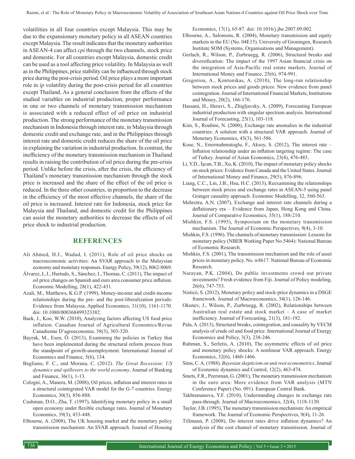volatilities in all four countries except Malaysia. This may be due to the expansionary monetary policy in all ASEAN countries except Malaysia. The result indicates that the monetary authorities in ASEAN-4 can affect *cpi* through the two channels, stock price and domestic. For all countries except Malaysia, domestic credit can be used as a tool affecting price volatility. In Malaysia as well as in the Philippines, price stability can be influenced through stock price during the post-crisis period. Oil price plays a more important role in *ip* volatility during the post-crisis period for all countries except Thailand. As a general conclusion from the effects of the studied variables on industrial production, proper performance in one or two channels of monetary transmission mechanism is associated with a reduced effect of oil price on industrial production. The strong performance of the monetary transmission mechanism in Indonesia through interest rate, in Malaysia through domestic credit and exchange rate, and in the Philippines through interest rate and domestic credit reduces the share of the oil price in explaining the variation in industrial production. In contrast, the inefficiency of the monetary transmission mechanism in Thailand results in raising the contribution of oil price during the pre-crisis period. Unlike before the crisis, after the crisis, the efficiency of Thailand's monetary transmission mechanism through the stock price is increased and the share of the effect of the oil price is reduced. In the three other countries, in proportion to the decrease in the efficiency of the most effective channels, the share of the oil price is increased. Interest rate for Indonesia, stock price for Malaysia and Thailand, and domestic credit for the Philippines can assist the monetary authorities to decrease the effects of oil price shock to industrial production.

## **REFERENCES**

- Ali Ahmed, H.J., Wadud, I. (2011), Role of oil price shocks on macroeconomic activities: An SVAR approach to the Malaysian economy and monetary responses. Energy Policy, 39(12), 8062-8069.
- Álvarez, L.J., Hurtado, S., Sánchez, I., Thomas, C. (2011), The impact of oil price changes on Spanish and euro area consumer price inflation. Economic Modelling, 28(1), 422-431.
- Azali, M., Matthews, K.G.P. (1999), Money-income and credit-income relationships during the pre- and the post-liberalization periods: Evidence from Malaysia. Applied Economics, 31(10), 1161-1170. doi: 10.1080/000368499323382.
- Baek, J., Koo, W.W. (2010), Analyzing factors affecting US food price inflation. Canadian Journal of Agricultural Economics/Revue Canadienne D'agroeconomie, 58(3), 303-320.
- Bayrak, M., Esen, Ö. (2013), Examining the policies in Turkey that have been implemented during the structural reform process from the standpoint of growth-unemployment. International Journal of Economics and Finance, 5(6), 134.
- Bagliano, F. C., and Morana, C. (2012). *The Great Recession: US dynamics and spillovers to the world economy*. Journal of Banking and Finance, 36(1), 1-13.
- Cologni, A., Manera, M. (2008), Oil prices, inflation and interest rates in a structural cointegrated VAR model for the G-7 countries. Energy Economics, 30(3), 856-888.
- Cushman, D.O., Zha, T. (1997), Identifying monetary policy in a small open economy under flexible exchange rates. Journal of Monetary Economics, 39(3), 433-448.
- Elbourne, A. (2008), The UK housing market and the monetary policy transmission mechanism: An SVAR approach. Journal of Housing

Economics, 17(1), 65-87. doi: 10.1016/j.jhe.2007.09.002.

- Elbourne, A., Salomons, R. (2004), Monetary transmission and equity markets in the EU (No. 04E15). University of Groningen, Research Institute SOM (Systems, Organisations and Management).
- Gerlach, R., Wilson, P., Zurbruegg, R. (2006), Structural breaks and diversification: The impact of the 1997 Asian financial crisis on the integration of Asia-Pacific real estate markets. Journal of International Money and Finance, 25(6), 974-991.
- Gregoriou, A., Kontonikas, A. (2010), The long-run relationship between stock prices and goods prices: New evidence from panel cointegration. Journal of International Financial Markets, Institutions and Money, 20(2), 166-176.
- Hassani, H., Heravi, S., Zhigljavsky, A. (2009), Forecasting European industrial production with singular spectrum analysis. International Journal of Forecasting, 25(1), 103-118.
- Kim, S., Roubini, N. (2000), Exchange rate anomalies in the industrial countries: A solution with a structural VAR approach. Journal of Monetary Economics, 45(3), 561-586.
- Kose, N., Emirmahmutoglu, F., Aksoy, S. (2012), The interest rate Inflation relationship under an inflation targeting regime: The case of Turkey. Journal of Asian Economics, 23(4), 476-485.
- Li, Y.D., İşcan, T.B., Xu, K. (2010), The impact of monetary policy shocks on stock prices: Evidence from Canada and the United States. Journal of International Money and Finance, 29(5), 876-896.
- Liang, C.C., Lin, J.B., Hsu, H.C. (2013), Reexamining the relationships between stock prices and exchange rates in ASEAN-5 using panel Granger causality approach. Economic Modelling, 32, 560-563.
- Mehrotra, A.N. (2007), Exchange and interest rate channels during a deflationary era – Evidence from Japan, Hong Kong and China. Journal of Comparative Economics, 35(1), 188-210.
- Mishkin, F.S. (1995), Symposium on the monetary transmission mechanism. The Journal of Economic Perspectives, 9(4), 3-10.
- Mishkin, F.S. (1996). The channels of monetary transmission: Lessons for monetary policy (NBER Working Paper No.5464): National Bureau of Economic Research.
- Mishkin, F.S. (2001), The transmission mechanism and the role of asset prices in monetary policy. No. w8617. National Bureau of Economic Research.
- Narayan, P.K. (2004), Do public investments crowd out private investments? Fresh evidence from Fiji. Journal of Policy modeling, 26(6), 747-753.
- Nisticò, S. (2012), Monetary policy and stock-price dynamics in a DSGE framework. Journal of Macroeconomics, 34(1), 126-146.
- Okunev, J., Wilson, P., Zurbruegg, R. (2002), Relationships between Australian real estate and stock market – A case of market inefficiency. Journal of Forecasting, 21(3), 181-192.
- Pala, A. (2013), Structural breaks, cointegration, and causality by VECM analysis of crude oil and food price. International Journal of Energy Economics and Policy, 3(3), 238-246.
- Rahman, S., Serletis, A. (2010), The asymmetric effects of oil price and monetary policy shocks: A nonlinear VAR approach. Energy Economics, 32(6), 1460-1466.
- Sims, C. A. (1988). *Bayesian skepticism on unit root econometrics*. Journal of Economic dynamics and Control, 12(2), 463-474.
- Smets, F.R., Peersman, G. (2001), The monetary transmission mechanism in the euro area: More evidence from VAR analysis (MTN Conference Paper) (No. 091). European Central Bank.
- Takhtamanova, Y.F. (2010), Understanding changes in exchange rate pass-through. Journal of Macroeconomics, 32(4), 1118-1130.

Taylor, J.B. (1995), The monetary transmission mechanism: An empirical framework. The Journal of Economic Perspectives, 9(4), 11-26.

Tillmann, P. (2008), Do interest rates drive inflation dynamics? An analysis of the cost channel of monetary transmission. Journal of